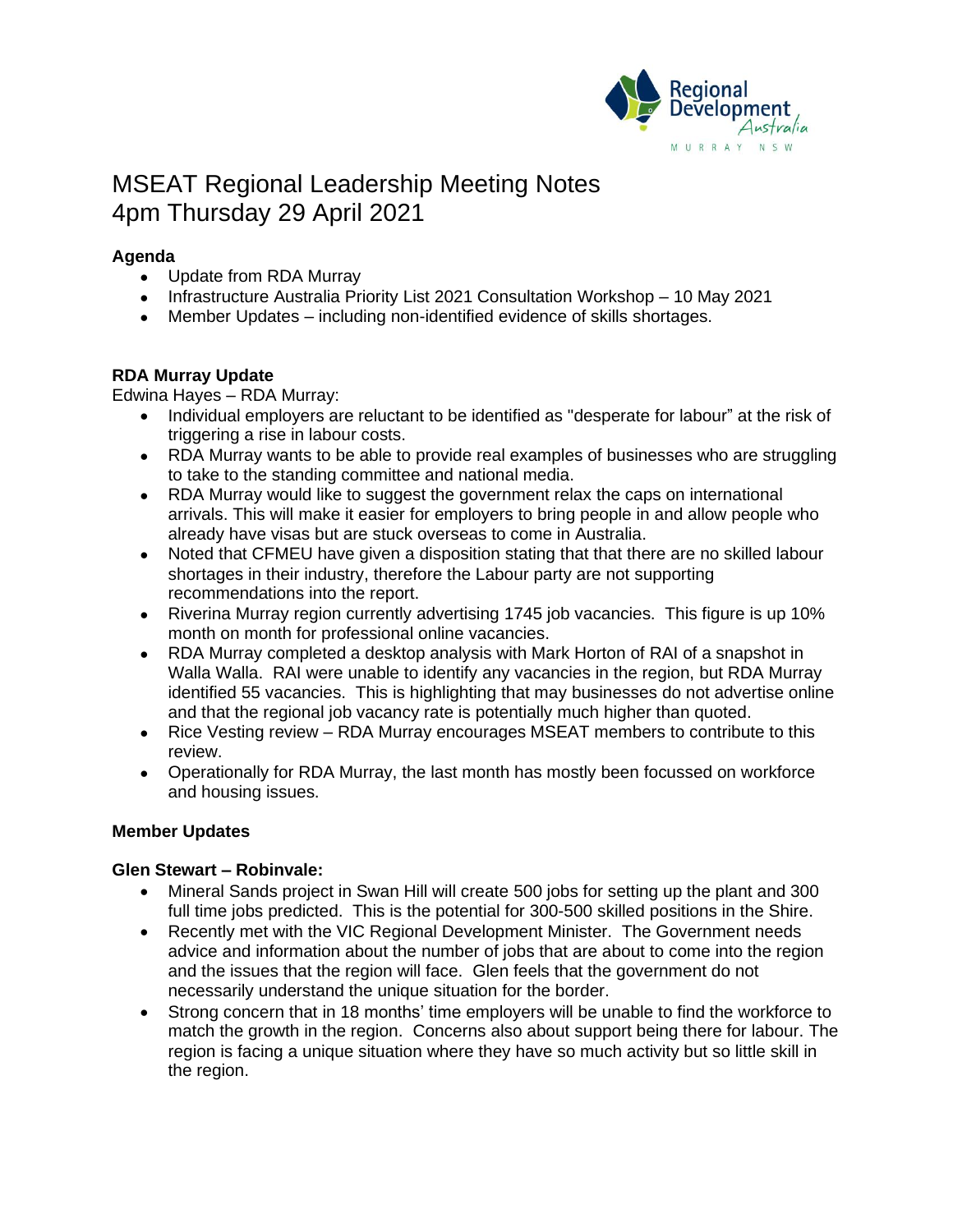

# MSEAT Regional Leadership Meeting Notes 4pm Thursday 29 April 2021

# **Agenda**

- Update from RDA Murray
- Infrastructure Australia Priority List 2021 Consultation Workshop 10 May 2021
- Member Updates including non-identified evidence of skills shortages.

# **RDA Murray Update**

Edwina Hayes – RDA Murray:

- Individual employers are reluctant to be identified as "desperate for labour" at the risk of triggering a rise in labour costs.
- RDA Murray wants to be able to provide real examples of businesses who are struggling to take to the standing committee and national media.
- RDA Murray would like to suggest the government relax the caps on international arrivals. This will make it easier for employers to bring people in and allow people who already have visas but are stuck overseas to come in Australia.
- Noted that CFMEU have given a disposition stating that that there are no skilled labour shortages in their industry, therefore the Labour party are not supporting recommendations into the report.
- Riverina Murray region currently advertising 1745 job vacancies. This figure is up 10% month on month for professional online vacancies.
- RDA Murray completed a desktop analysis with Mark Horton of RAI of a snapshot in Walla Walla. RAI were unable to identify any vacancies in the region, but RDA Murray identified 55 vacancies. This is highlighting that may businesses do not advertise online and that the regional job vacancy rate is potentially much higher than quoted.
- Rice Vesting review RDA Murray encourages MSEAT members to contribute to this review.
- Operationally for RDA Murray, the last month has mostly been focussed on workforce and housing issues.

# **Member Updates**

# **Glen Stewart – Robinvale:**

- Mineral Sands project in Swan Hill will create 500 jobs for setting up the plant and 300 full time jobs predicted. This is the potential for 300-500 skilled positions in the Shire.
- Recently met with the VIC Regional Development Minister. The Government needs advice and information about the number of jobs that are about to come into the region and the issues that the region will face. Glen feels that the government do not necessarily understand the unique situation for the border.
- Strong concern that in 18 months' time employers will be unable to find the workforce to match the growth in the region. Concerns also about support being there for labour. The region is facing a unique situation where they have so much activity but so little skill in the region.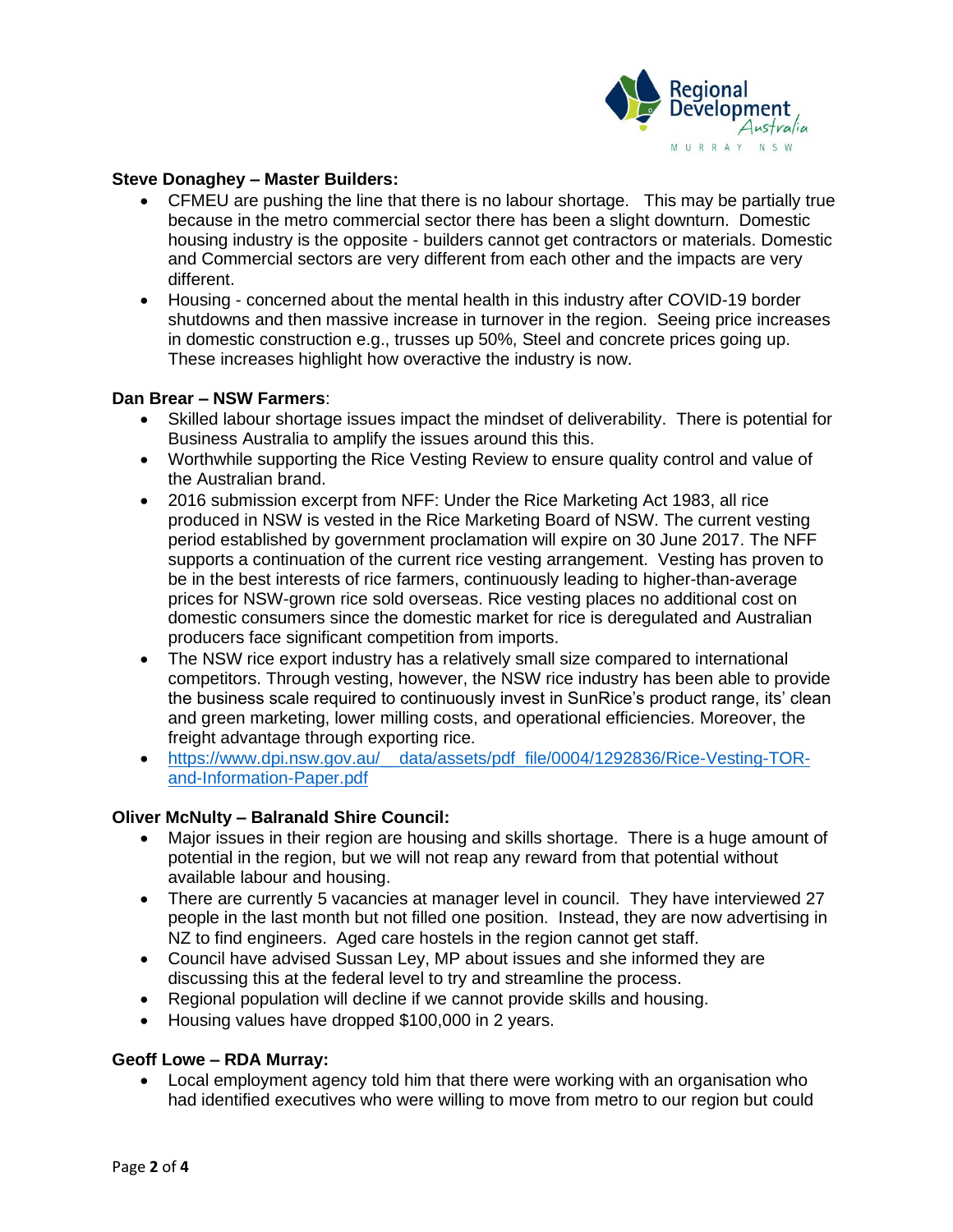

#### **Steve Donaghey – Master Builders:**

- CFMEU are pushing the line that there is no labour shortage. This may be partially true because in the metro commercial sector there has been a slight downturn. Domestic housing industry is the opposite - builders cannot get contractors or materials. Domestic and Commercial sectors are very different from each other and the impacts are very different.
- Housing concerned about the mental health in this industry after COVID-19 border shutdowns and then massive increase in turnover in the region. Seeing price increases in domestic construction e.g., trusses up 50%, Steel and concrete prices going up. These increases highlight how overactive the industry is now.

#### **Dan Brear – NSW Farmers**:

- Skilled labour shortage issues impact the mindset of deliverability. There is potential for Business Australia to amplify the issues around this this.
- Worthwhile supporting the Rice Vesting Review to ensure quality control and value of the Australian brand.
- 2016 submission excerpt from NFF: Under the Rice Marketing Act 1983, all rice produced in NSW is vested in the Rice Marketing Board of NSW. The current vesting period established by government proclamation will expire on 30 June 2017. The NFF supports a continuation of the current rice vesting arrangement. Vesting has proven to be in the best interests of rice farmers, continuously leading to higher-than-average prices for NSW-grown rice sold overseas. Rice vesting places no additional cost on domestic consumers since the domestic market for rice is deregulated and Australian producers face significant competition from imports.
- The NSW rice export industry has a relatively small size compared to international competitors. Through vesting, however, the NSW rice industry has been able to provide the business scale required to continuously invest in SunRice's product range, its' clean and green marketing, lower milling costs, and operational efficiencies. Moreover, the freight advantage through exporting rice.
- https://www.dpi.nsw.gov.au/ data/assets/pdf file/0004/1292836/Rice-Vesting-TOR[and-Information-Paper.pdf](https://www.dpi.nsw.gov.au/__data/assets/pdf_file/0004/1292836/Rice-Vesting-TOR-and-Information-Paper.pdf)

#### **Oliver McNulty – Balranald Shire Council:**

- Major issues in their region are housing and skills shortage. There is a huge amount of potential in the region, but we will not reap any reward from that potential without available labour and housing.
- There are currently 5 vacancies at manager level in council. They have interviewed 27 people in the last month but not filled one position. Instead, they are now advertising in NZ to find engineers. Aged care hostels in the region cannot get staff.
- Council have advised Sussan Ley, MP about issues and she informed they are discussing this at the federal level to try and streamline the process.
- Regional population will decline if we cannot provide skills and housing.
- Housing values have dropped \$100,000 in 2 years.

#### **Geoff Lowe – RDA Murray:**

• Local employment agency told him that there were working with an organisation who had identified executives who were willing to move from metro to our region but could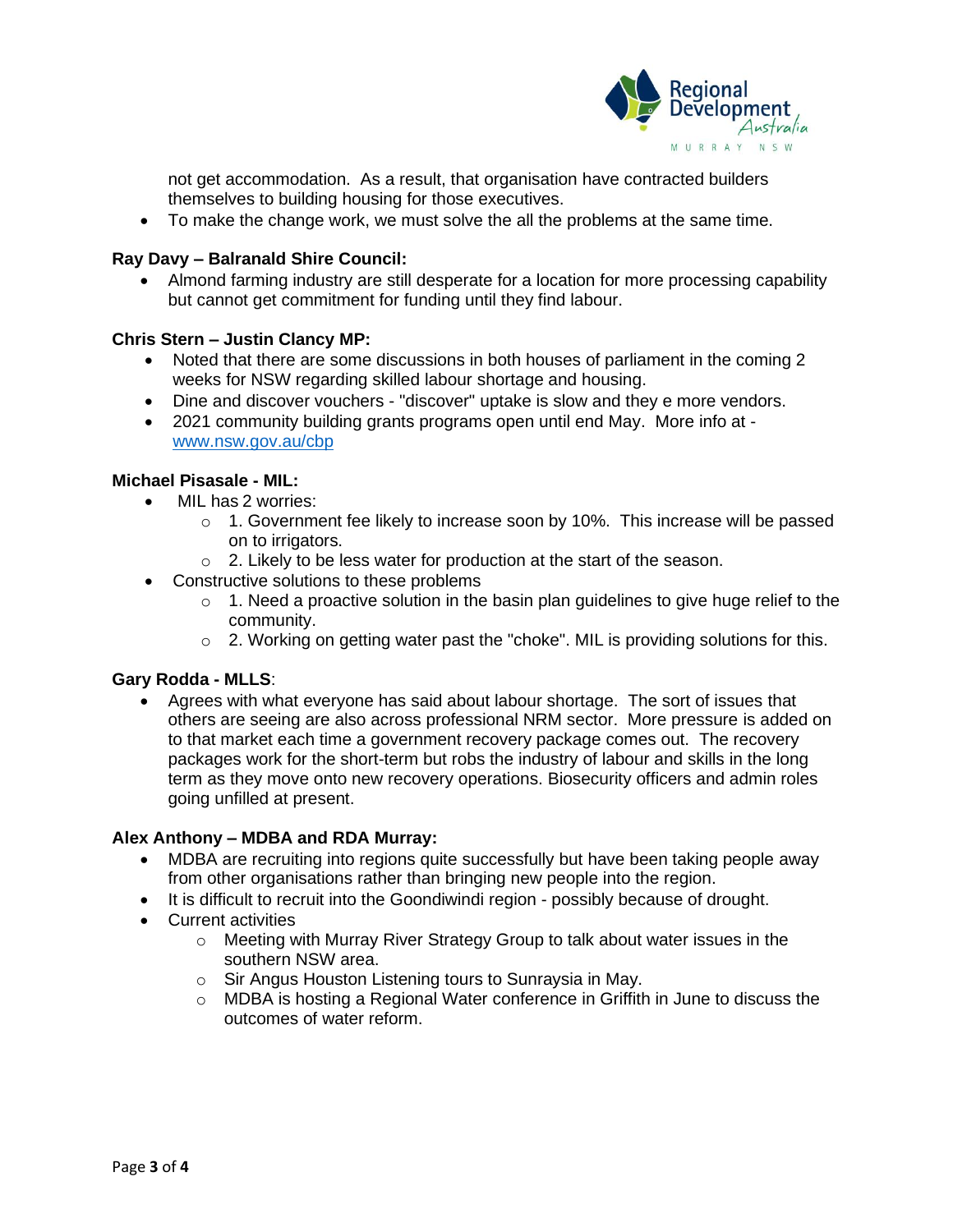

not get accommodation. As a result, that organisation have contracted builders themselves to building housing for those executives.

• To make the change work, we must solve the all the problems at the same time.

#### **Ray Davy – Balranald Shire Council:**

• Almond farming industry are still desperate for a location for more processing capability but cannot get commitment for funding until they find labour.

# **Chris Stern – Justin Clancy MP:**

- Noted that there are some discussions in both houses of parliament in the coming 2 weeks for NSW regarding skilled labour shortage and housing.
- Dine and discover vouchers "discover" uptake is slow and they e more vendors.
- 2021 community building grants programs open until end May. More info at [www.nsw.gov.au/cbp](http://www.nsw.gov.au/cbp)

# **Michael Pisasale - MIL:**

- MIL has 2 worries:
	- o 1. Government fee likely to increase soon by 10%. This increase will be passed on to irrigators.
	- o 2. Likely to be less water for production at the start of the season.
- Constructive solutions to these problems
	- $\circ$  1. Need a proactive solution in the basin plan guidelines to give huge relief to the community.
	- o 2. Working on getting water past the "choke". MIL is providing solutions for this.

#### **Gary Rodda - MLLS**:

• Agrees with what everyone has said about labour shortage. The sort of issues that others are seeing are also across professional NRM sector. More pressure is added on to that market each time a government recovery package comes out. The recovery packages work for the short-term but robs the industry of labour and skills in the long term as they move onto new recovery operations. Biosecurity officers and admin roles going unfilled at present.

# **Alex Anthony – MDBA and RDA Murray:**

- MDBA are recruiting into regions quite successfully but have been taking people away from other organisations rather than bringing new people into the region.
- It is difficult to recruit into the Goondiwindi region possibly because of drought.
- Current activities
	- $\circ$  Meeting with Murray River Strategy Group to talk about water issues in the southern NSW area.
	- o Sir Angus Houston Listening tours to Sunraysia in May.
	- $\circ$  MDBA is hosting a Regional Water conference in Griffith in June to discuss the outcomes of water reform.